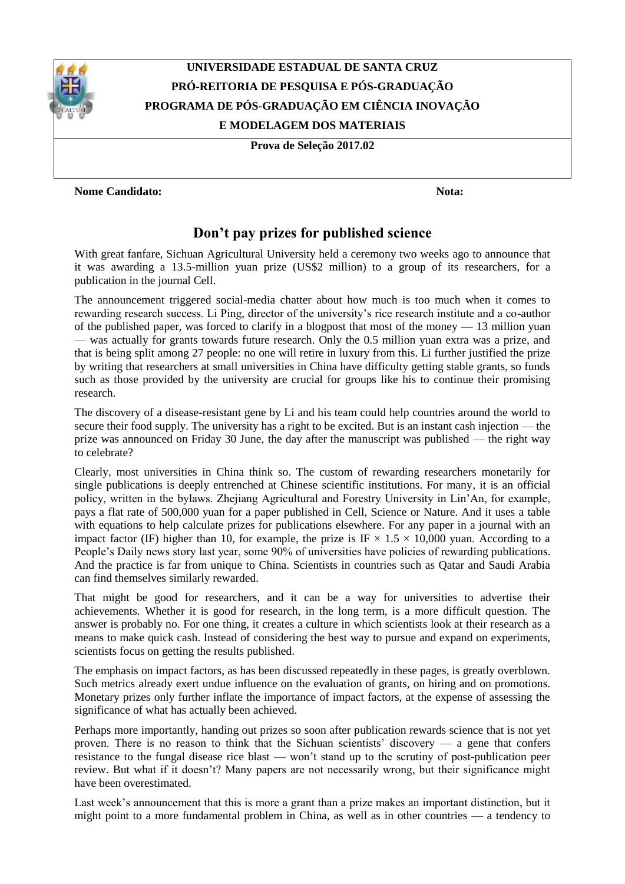

## **UNIVERSIDADE ESTADUAL DE SANTA CRUZ PRÓ-REITORIA DE PESQUISA E PÓS-GRADUAÇÃO PROGRAMA DE PÓS-GRADUAÇÃO EM CIÊNCIA INOVAÇÃO E MODELAGEM DOS MATERIAIS**

**Prova de Seleção 2017.02**

## **Nome Candidato: Nota:**

## **Don't pay prizes for published science**

With great fanfare, Sichuan Agricultural University held a ceremony two weeks ago to announce that it was awarding a 13.5-million yuan prize (US\$2 million) to a group of its researchers, for a publication in the journal Cell.

The announcement triggered social-media chatter about how much is too much when it comes to rewarding research success. Li Ping, director of the university's rice research institute and a co-author of the published paper, was forced to clarify in a blogpost that most of the money — 13 million yuan — was actually for grants towards future research. Only the 0.5 million yuan extra was a prize, and that is being split among 27 people: no one will retire in luxury from this. Li further justified the prize by writing that researchers at small universities in China have difficulty getting stable grants, so funds such as those provided by the university are crucial for groups like his to continue their promising research.

The discovery of a disease-resistant gene by Li and his team could help countries around the world to secure their food supply. The university has a right to be excited. But is an instant cash injection — the prize was announced on Friday 30 June, the day after the manuscript was published — the right way to celebrate?

Clearly, most universities in China think so. The custom of rewarding researchers monetarily for single publications is deeply entrenched at Chinese scientific institutions. For many, it is an official policy, written in the bylaws. Zhejiang Agricultural and Forestry University in Lin'An, for example, pays a flat rate of 500,000 yuan for a paper published in Cell, Science or Nature. And it uses a table with equations to help calculate prizes for publications elsewhere. For any paper in a journal with an impact factor (IF) higher than 10, for example, the prize is IF  $\times$  1.5  $\times$  10,000 yuan. According to a People's Daily news story last year, some 90% of universities have policies of rewarding publications. And the practice is far from unique to China. Scientists in countries such as Qatar and Saudi Arabia can find themselves similarly rewarded.

That might be good for researchers, and it can be a way for universities to advertise their achievements. Whether it is good for research, in the long term, is a more difficult question. The answer is probably no. For one thing, it creates a culture in which scientists look at their research as a means to make quick cash. Instead of considering the best way to pursue and expand on experiments, scientists focus on getting the results published.

The emphasis on impact factors, as has been discussed repeatedly in these pages, is greatly overblown. Such metrics already exert undue influence on the evaluation of grants, on hiring and on promotions. Monetary prizes only further inflate the importance of impact factors, at the expense of assessing the significance of what has actually been achieved.

Perhaps more importantly, handing out prizes so soon after publication rewards science that is not yet proven. There is no reason to think that the Sichuan scientists' discovery — a gene that confers resistance to the fungal disease rice blast — won't stand up to the scrutiny of post-publication peer review. But what if it doesn't? Many papers are not necessarily wrong, but their significance might have been overestimated.

Last week's announcement that this is more a grant than a prize makes an important distinction, but it might point to a more fundamental problem in China, as well as in other countries — a tendency to